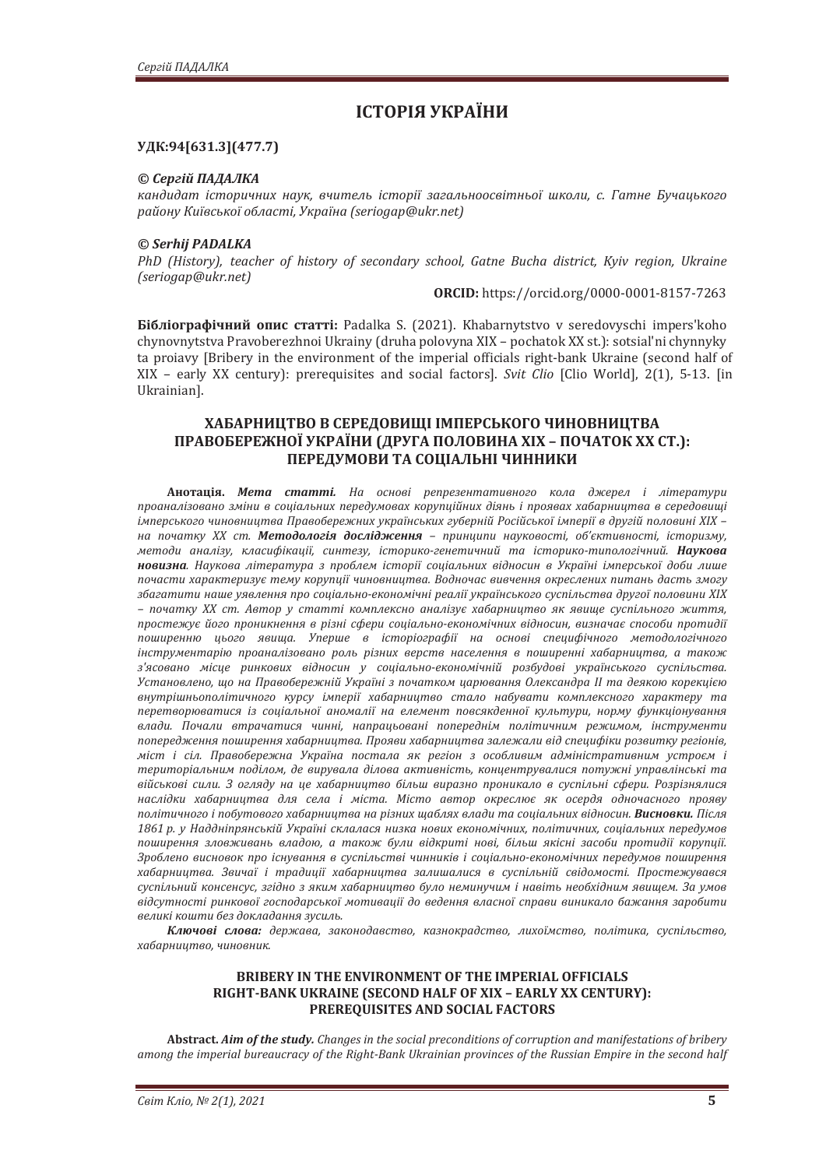# **ІСТОРІЯ УКРАЇНИ**

## УДК:94[631.3](477.7)

## © Сергій ПАЛАЛКА

кандидат *історичних наук, вчитель історії загальноосвітньої школи, с. Гатне Бучацького*  $pa\tilde{u}$ *óу Київської області, Україна (seriogap*@ukr.net)

#### *© Serhij PADALKA*

PhD (History), teacher of history of secondary school, Gatne Bucha district, Kyiv region, Ukraine *ȋ̻ǤȌ*

**ǣ** https://orcid.org/0000-0001-8157-7263

**Бібліографічний опис статті:** Padalka S. (2021). Khabarnytstvo v seredovyschi impers'koho chynovnytstva Pravoberezhnoi Ukrainy (druha polovyna XIX - pochatok XX st.): sotsial'ni chynnyky ta proiavy [Bribery in the environment of the imperial officials right-bank Ukraine (second half of XIX – early XX century): prerequisites and social factors]. *Svit Clio* [Clio World], 2(1), 5-13. [in Ukrainian].

# **ХАБАРНИЦТВО В СЕРЕДОВИЩІ ІМПЕРСЬКОГО ЧИНОВНИЦТВА** ПРАВОБЕРЕЖНОЇ УКРАЇНИ (ДРУГА ПОЛОВИНА XIX - ПОЧАТОК XX СТ.): ПЕРЕДУМОВИ ТА СОЦІАЛЬНІ ЧИННИКИ

**Анотація. Мета статті.** На основі репрезентативного кола джерел і літератури проаналізовано зміни в соціальних передумовах корупційних діянь і проявах хабарництва в середовиші *iмперського чиновництва Правобережних українських губерній Російської імперії в другій половині XIX* на початку XX ст. Методологія дослідження - принципи науковості, об'єктивності, історизму, методи аналізу, класифікації, синтезу, історико-генетичний та історико-типологічний. Наукова **новизна**. Наукова література з проблем історії соціальних відносин в Україні імперської доби лише почасти характеризує тему корупції чиновництва. Водночас вивчення окреслених питань дасть змогу збагатити наше уявлення про соціально-економічні реалії українського суспільства другої половини XIX – початку XX ст. Автор у статті комплексно аналізує хабарництво як явище суспільного життя, простежує його проникнення в різні сфери соціально-економічних відносин, визначає способи протидії поширенню цього явища. Уперше в iсторiографiї на основі специфічного методологічного iнструментарiю проаналiзовано роль рiзних верств населення в поширеннi хабарництва, а також <sup>*<sup>2</sup>* / *а/асовано місце ринкових відносин у соціально-економічній розбудові українського суспільства.*</sup> Установлено, що на Правобережній Україні з початком царювання Олександра II та деякою корекцією  $\theta$ ъигрішньополітичного курсу імперії хабарництво стало набувати комплексного характеру та перетворюватися *із соціальної аномалії на елемент повсякденної культури, норму функціонування* влади. Почали втрачатися чинні, напрацьовані попереднім політичним режимом, інструменти попередження поширення хабарництва. Прояви хабарництва залежали від специфіки розвитку регіонів, міст і сіл. Правобережна Україна постала як регіон з особливим адміністративним устроєм і територіальним поділом, де вирувала ділова активність, концентрувалися потужні управлінські та військові сили. З огляду на це хабарництво більш виразно проникало в суспільні сфери. Розрізнялися наслідки хабарниитва для села і міста. Місто автор окреслює як осердя одночасного прояву політичного і побутового хабарниитва на різних шаблях влади та соціальних відносин. **Висновки.** Після 1861 р. у Наддніпрянській Україні склалася низка нових економічних, політичних, соціальних передумов поширення зловживань владою, а також були відкриті нові, більш якісні засоби протидії корупції. Зроблено висновок про існування в суспільстві чинників і соціально-економічних передумов поширення хабарництва. Звичаї і традиції хабарництва залишалися в суспільній свідомості. Простежувався суспільний консенсус, згідно з яким хабарництво було неминучим і навіть необхідним явищем. За умов відсутності ринкової господарської мотивації до ведення власної справи виникало бажання заробити великі кошти без докладання зусиль.

Ключові слова: держава, законодавство, казнокрадство, лихоїмство, політика, суспільство, хабарництво, чиновник.

### BRIBERY IN THE ENVIRONMENT OF THE IMPERIAL OFFICIALS RIGHT-BANK UKRAINE (SECOND HALF OF XIX - EARLY XX CENTURY): **PREREQUISITES AND SOCIAL FACTORS**

Abstract. Aim of the study. Changes in the social preconditions of corruption and manifestations of bribery among the imperial bureaucracy of the Right-Bank Ukrainian provinces of the Russian Empire in the second half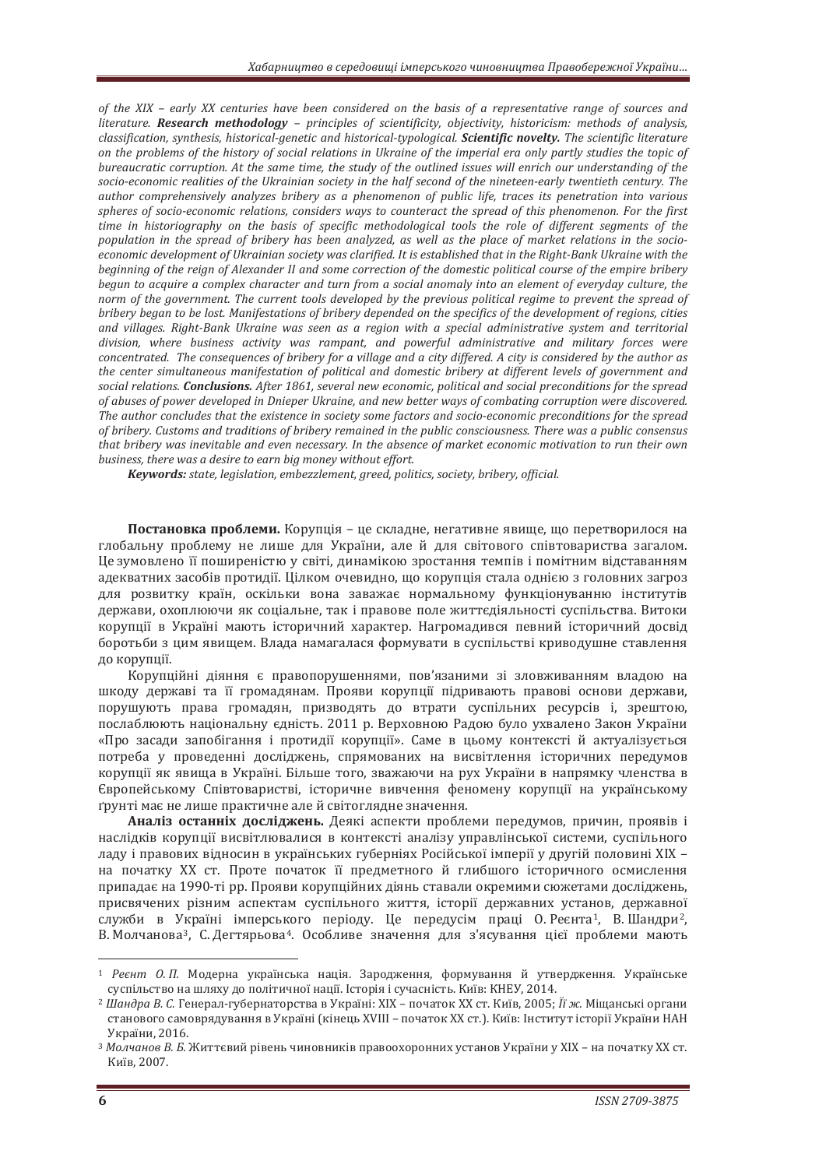of the XIX - early XX centuries have been considered on the basis of a representative range of sources and *literature.* Research methodology - principles of scientificity, objectivity, historicism: methods of analysis, *classification, synthesis, historical-genetic and historical-typological. Scientific novelty. The scientific literature* on the problems of the history of social relations in Ukraine of the imperial era only partly studies the topic of bureaucratic corruption. At the same time, the study of the outlined issues will enrich our understanding of the *socio-economic realities of the Ukrainian society in the half second of the nineteen-early twentieth century. The* author comprehensively analyzes bribery as a phenomenon of public life, traces its penetration into various spheres of socio-economic relations, considers ways to counteract the spread of this phenomenon. For the first time in historiography on the basis of specific methodological tools the role of different segments of the *population in the spread of bribery has been analyzed, as well as the place of market relations in the socioeconomic development of Ukrainian society was clarified. It is established that in the Right-Bank Ukraine with the* beginning of the reign of Alexander II and some correction of the domestic political course of the empire bribery begun to acquire a complex character and turn from a social anomaly into an element of everyday culture, the norm of the government. The current tools developed by the previous political regime to prevent the spread of *bribery began to be lost. Manifestations of bribery depended on the specifics of the development of regions, cities* and villages. Right-Bank Ukraine was seen as a region with a special administrative system and territorial division, where business activity was rampant, and powerful administrative and military forces were concentrated. The consequences of bribery for a village and a city differed. A city is considered by the author as the center simultaneous manifestation of political and domestic bribery at different levels of government and *social relations. Conclusions. After 1861, several new economic, political and social preconditions for the spread of abuses of power developed in Dnieper Ukraine, and new better ways of combating corruption were discovered.* The author concludes that the existence in society some factors and socio-economic preconditions for the spread of bribery. Customs and traditions of bribery remained in the public consciousness. There was a public consensus that bribery was inevitable and even necessary. In the absence of market economic motivation to run their own *business, there was a desire to earn big money without effort.* 

*Keywords: state, legislation, embezzlement, greed, politics, society, bribery, official.* 

Постановка проблеми. Корупція – це складне, негативне явище, що перетворилося на глобальну проблему не лише для України, але й для світового співтовариства загалом. Це зумовлено її поширеністю у світі, динамікою зростання темпів і помітним відставанням адекватних засобів протидії. Цілком очевидно, що корупція стала однією з головних загроз для розвитку країн, оскільки вона заважає нормальному функціонуванню інститутів держави, охоплюючи як соціальне, так і правове поле життєдіяльності суспільства. Витоки корупції в Україні мають історичний характер. Нагромадився певний історичний досвід боротьби з цим явишем. Влада намагалася формувати в суспільстві криводущне ставлення до корупції.

Корупційні діяння є правопорушеннями, пов'язаними зі зловживанням владою на шкоду державі та її громадянам. Прояви корупції підривають правові основи держави, порушують права громадян, призводять до втрати суспільних ресурсів і, зрештою, послаблюють національну єдність. 2011 р. Верховною Радою було ухвалено Закон України «Про засади запобігання і протидії корупції». Саме в цьому контексті й актуалізується потреба у проведенні досліджень, спрямованих на висвітлення історичних передумов корупції як явища в Україні. Більше того, зважаючи на рух України в напрямку членства в Свропейському Співтоваристві, історичне вивчення феномену корупції на українському грунті має не лише практичне але й світоглядне значення.

**Аналіз останніх лослілжень.** Деякі аспекти проблеми передумов, причин, проявів і наслідків корупції висвітлювалися в контексті аналізу управлінської системи, суспільного ладу і правових відносин в українських губерніях Російської імперії у другій половині XIX на початку XX ст. Проте початок її предметного й глибшого історичного осмислення припадає на 1990-ті рр. Прояви корупційних діянь ставали окремими сюжетами досліджень, присвячених різним аспектам суспільного життя, історії державних установ, державної служби в Україні імперського періоду. Це передусім праці О. Реєнта<sup>1</sup>, В. Шандри<sup>2</sup>, В. Молчанова<sup>3</sup>, С. Дегтярьова<sup>4</sup>. Особливе значення для з'ясування цієї проблеми мають

<sup>&</sup>lt;sup>1</sup> Реєнт О.П. Модерна українська нація. Зародження, формування й утвердження. Українське суспільство на шляху до політичної нації. Історія і сучасність. Київ: КНЕУ, 2014.

<sup>&</sup>lt;sup>2</sup> Шандра В. С. Генерал-губернаторства в Україні: XIX – початок XX ст. Київ, 2005; Її ж. Міщанські органи станового самоврядування в Україні (кінець XVIII - початок XX ст.). Київ: Інститут історії України НАН Vкnaїни 2016

<sup>&</sup>lt;sup>3</sup> Молчанов В. Б. Життєвий рівень чиновників правоохоронних установ України у XIX – на початку XX ст. Київ. 2007.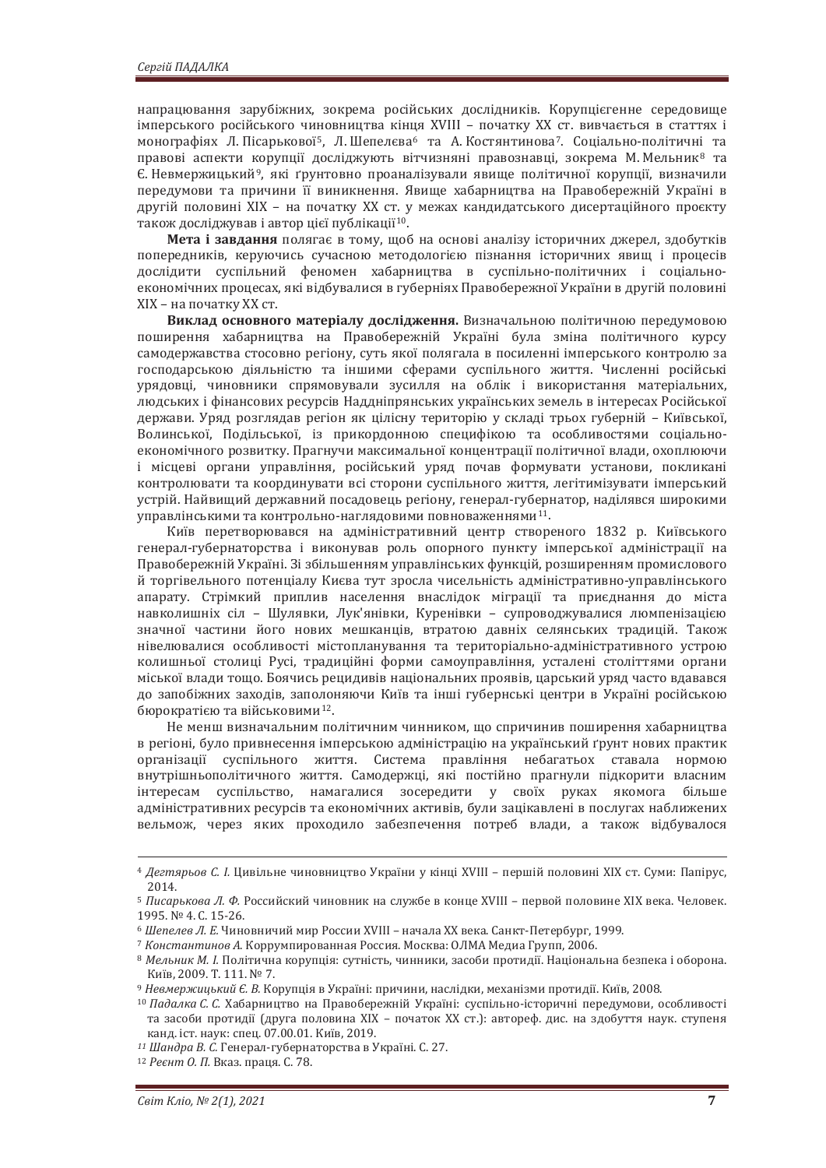напрацювання зарубіжних, зокрема російських дослідників. Корупцієгенне середовище імперського російського чиновництва кінця XVIII – початку XX ст. вивчається в статтях і монографіях Л. Пісарькової<sup>5</sup>, Л. Шепелєва<sup>6</sup> та А. Костянтинова<sup>7</sup>. Соціально-політичні та правові аспекти корупції досліджують вітчизняні правознавці, зокрема М. Мельник<sup>8</sup> та Є. Невмержицький<sup>9</sup>, які ґрунтовно проаналізували явище політичної корупції, визначили передумови та причини її виникнення. Явище хабарництва на Правобережній Україні в другій половині XIX – на початку XX ст. у межах кандидатського дисертаційного проєкту також досліджував і автор цієї публікації<sup>10</sup>.

Мета і завдання полягає в тому, щоб на основі аналізу історичних джерел, здобутків попередників, керуючись сучасною методологією пізнання історичних явищ і процесів дослідити суспільний феномен хабарництва в суспільно-політичних і соціальноекономічних процесах, які відбувалися в губерніях Правобережної України в другій половині XIX – на початку XX ст.

Виклад основного матеріалу дослідження. Визначальною політичною передумовою поширення хабарництва на Правобережній Україні була зміна політичного курсу самодержавства стосовно регіону, суть якої полягала в посиленні імперського контролю за господарською діяльністю та іншими сферами суспільного життя. Численні російські урядовці, чиновники спрямовували зусилля на облік і використання матеріальних, людських і фінансових ресурсів Наддніпрянських українських земель в інтересах Російської держави. Уряд розглядав регіон як цілісну територію у складі трьох губерній – Київської, Волинської, Подільської, із прикордонною специфікою та особливостями соціальноекономічного розвитку. Прагнучи максимальної концентрації політичної влади, охоплюючи і місцеві органи управління, російський уряд почав формувати установи, покликані контролювати та координувати всі сторони суспільного життя, легітимізувати імперський устрій. Найвищий державний посадовець регіону, генерал-губернатор, наділявся широкими управлінськими та контрольно-наглядовими повноваженнями<sup>11</sup>.

Київ перетворювався на адміністративний центр створеного 1832 р. Київського генерал-губернаторства і виконував роль опорного пункту імперської адміністрації на Правобережній Україні. Зі збільшенням управлінських функцій, розширенням промислового й торгівельного потенціалу Києва тут зросла чисельність адміністративно-управлінського апарату. Стрімкий приплив населення внаслідок міграції та приєднання до міста навколишніх сіл - Шулявки, Лук'янівки, Куренівки - супроводжувалися люмпенізацією значної частини його нових мешканців, втратою давніх селянських традицій. Також нівелювалися особливості містопланування та територіально-адміністративного устрою колишньої столиці Русі, традиційні форми самоуправління, усталені століттями органи міської влади тошо. Боячись рецидивів національних проявів, царський уряд часто вдавався до запобіжних заходів, заполоняючи Київ та інші губернські центри в Україні російською бюрократією та військовими<sup>12</sup>.

Не менш визначальним політичним чинником, що спричинив поширення хабарництва в регіоні, було привнесення імперською адміністрацію на український ґрунт нових практик організації суспільного життя. Система правління небагатьох ставала нормою внутрішньополітичного життя. Самодержці, які постійно прагнули підкорити власним інтересам суспільство, намагалися зосередити у своїх руках якомога більше адміністративних ресурсів та економічних активів, були зацікавлені в послугах наближених вельмож, через яких проходило забезпечення потреб влади, а також відбувалося

<sup>&</sup>lt;sup>4</sup> Дегтярьов С. І. Цивільне чиновництво України у кінці XVIII - першій половині XIX ст. Суми: Папірус, 2014.

<sup>&</sup>lt;sup>5</sup> Писарькова Л. Ф. Российский чиновник на службе в конце XVIII - первой половине XIX века. Человек. 1995. № 4. С. 15-26.<br>*<sup>6</sup> Шепелев Л. Е.* Чиновничий мир России XVIII – начала XX века. Санкт-Петербург, 1999.

<sup>&</sup>lt;sup>7</sup> Константинов А. Коррумпированная Россия. Москва: ОЛМА Медиа Групп, 2006.

<sup>&</sup>lt;sup>8</sup> Мельник М. І. Політична корупція: сутність, чинники, засоби протидії. Національна безпека і оборона. Κиїв. 2009. Τ. 111. ΝΩ 7.

<sup>&</sup>lt;sup>9</sup> Невмержицький Є. В. Корупція в Україні: причини, наслідки, механізми протидії. Київ, 2008.

<sup>&</sup>lt;sup>10</sup> Падалка С. С. Хабарництво на Правобережній Україні: суспільно-історичні передумови, особливості та засоби протидії (друга половина XIX – початок XX ст.): автореф. дис. на здобуття наук. ступеня канд. іст. наук: спец. 07.00.01. Київ, 2019.

<sup>&</sup>lt;sup>11</sup> Шандра В. С. Генерал-губернаторства в Україні. С. 27.

<sup>&</sup>lt;sup>12</sup> Реєнт О. П. Вказ. праця. С. 78.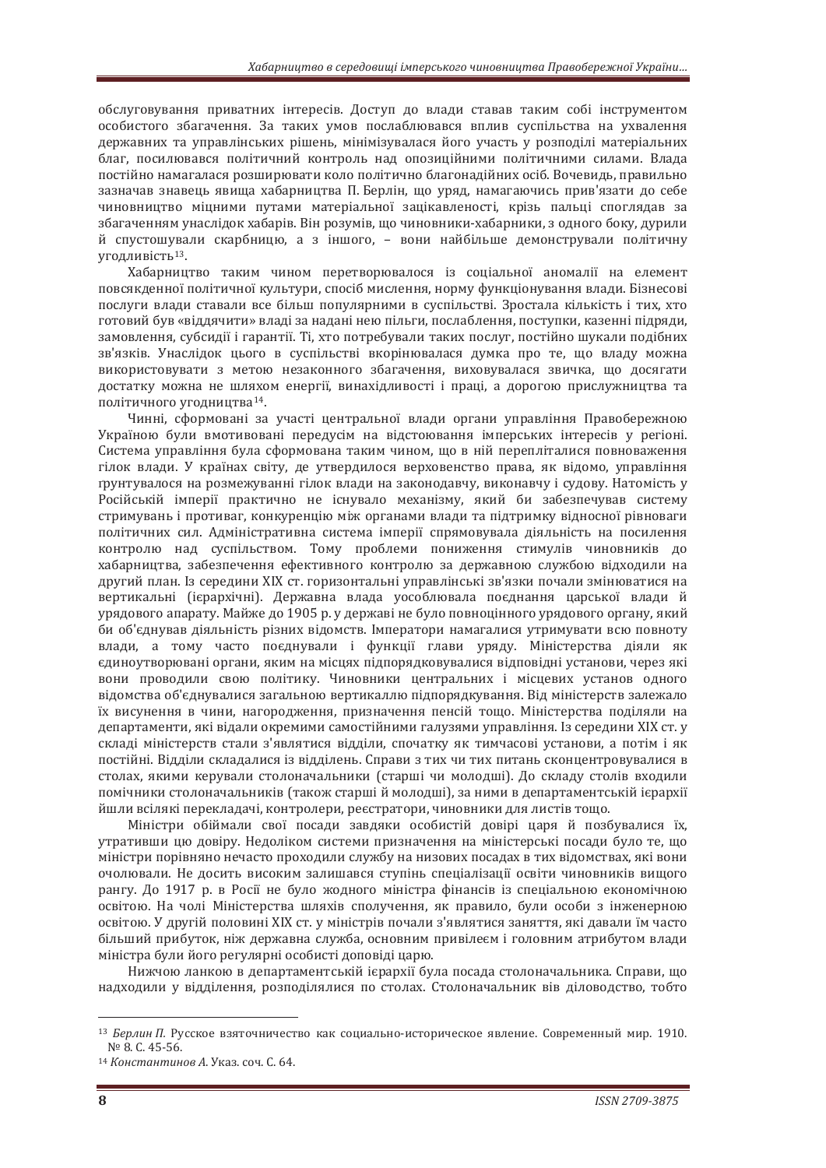обслуговування приватних інтересів. Доступ до влади ставав таким собі інструментом особистого збагачення. За таких умов послаблювався вплив суспільства на ухвалення державних та управлінських рішень, мінімізувалася його участь у розподілі матеріальних благ, посилювався політичний контроль над опозиційними політичними силами. Влада постійно намагалася розширювати коло політично благонадійних осіб. Вочевидь, правильно зазначав знавець явища хабарництва П. Берлін, що уряд, намагаючись прив'язати до себе чиновништво мішними путами матеріальної зацікавленості, крізь пальці споглялав за збагаченням унаслідок хабарів. Він розумів, що чиновники-хабарники, з одного боку, дурили й спустошували скарбницю, а з іншого, – вони найбільше демонстрували політичну УГОДЛИВІСТЬ<sup>13</sup>.

Хабарництво таким чином перетворювалося із соціальної аномалії на елемент повсякленної політичної культури, спосіб мислення, норму функціонування влади. Бізнесові послуги влади ставали все більш популярними в суспільстві. Зростала кількість і тих, хто готовий був «віддячити» владі за надані нею пільги, послаблення, поступки, казенні підряди, замовлення, субсидії і гарантії. Ті, хто потребували таких послуг, постійно шукали подібних зв'язків. Унаслідок цього в суспільстві вкорінювалася думка про те, що владу можна використовувати з метою незаконного збагачення, виховувалася звичка, що досягати достатку можна не шляхом енергії, винахілливості і праці, а дорогою прислужництва та політичного угодництва<sup>14</sup>.

Чинні, сформовані за участі центральної влади органи управління Правобережною Україною були вмотивовані перелусім на вілстоювання імперських інтересів у регіоні. Система управління була сформована таким чином, що в ній перепліталися повноваження гілок влади. У країнах світу, де утвердилося верховенство права, як відомо, управління грунтувалося на розмежуванні гілок влади на законодавчу, виконавчу і судову. Натомість у Російській імперії практично не існувало механізму, який би забезпечував систему стримувань і противаг, конкуренцію між органами влади та підтримку відносної рівноваги політичних сил. Адміністративна система імперії спрямовувала діяльність на посилення контролю над суспільством. Тому проблеми пониження стимулів чиновників до хабарництва, забезпечення ефективного контролю за державною службою відходили на другий план. Із середини XIX ст. горизонтальні управлінські зв'язки почали змінюватися на вертикальні (ієрархічні). Державна влада уособлювала поєднання царської влади й урядового апарату. Майже до 1905 р. у державі не було повноцінного урядового органу, який би об'єднував діяльність різних відомств. Імператори намагалися утримувати всю повноту влади, а тому часто поєднували і функції глави уряду. Міністерства діяли як  $ε$ линоутворювані органи, яким на місцях пілпорялковувалися вілповілні установи, через які вони проводили свою політику. Чиновники центральних і місцевих установ одного відомства об'єднувалися загальною вертикаллю підпорядкування. Від міністерств залежало їх висунення в чини, нагородження, призначення пенсій тощо. Міністерства поділяли на департаменти, які відали окремими самостійними галузями управління. Із середини XIX ст. у склалі міністерств стали з'являтися вілліли, спочатку як тимчасові установи, а потім і як постійні. Відділи складалися із відділень. Справи з тих чи тих питань сконцентровувалися в столах, якими керували столоначальники (старші чи молодші). До складу столів входили помічники столоначальників (також старші й молодші), за ними в департаментській ієрархії йшли всілякі перекладачі, контролери, реєстратори, чиновники для листів тощо.

Міністри обіймали свої посади завдяки особистій довірі царя й позбувалися їх. утративши цю довіру. Недоліком системи призначення на міністерські посади було те, що міністри порівняно нечасто проходили службу на низових посадах в тих відомствах, які вони очолювали. Не досить високим залишався ступінь спеціалізації освіти чиновників вишого рангу. До 1917 р. в Росії не було жодного міністра фінансів із спеціальною економічною освітою. На чолі Міністерства шляхів сполучення, як правило, були особи з інженерною освітою. У другій половині XIX ст. у міністрів почали з'являтися заняття, які давали їм часто більший прибуток, ніж державна служба, основним привілеєм і головним атрибутом влади міністра були його регулярні особисті доповіді царю.

Нижчою ланкою в департаментській ієрархії була посада столоначальника. Справи, що надходили у відділення, розподілялися по столах. Столоначальник вів діловодство, тобто

<sup>&</sup>lt;sup>13</sup> Берлин П. Русское взяточничество как социально-историческое явление. Современный мир. 1910. Nº 8. С. 45-56.<br><sup>14</sup> *Константинов А.* Указ. соч. С. 64.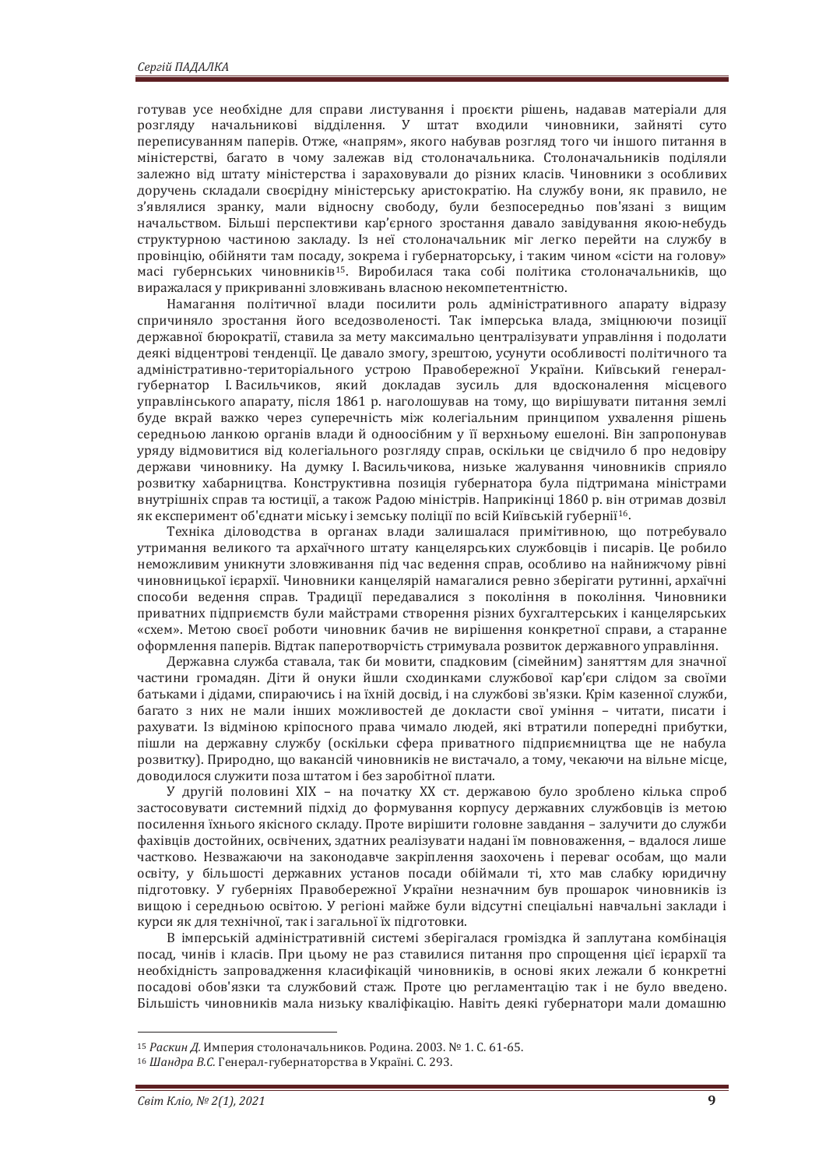готував усе необхідне для справи листування і проєкти рішень, надавав матеріали для розгляду начальникові відділення. У штат входили чиновники, зайняті суто переписуванням паперів. Отже, «напрям», якого набував розгляд того чи іншого питання в міністерстві, багато в чому залежав від столоначальника. Столоначальників поділяли залежно від штату міністерства і зараховували до різних класів. Чиновники з особливих доручень складали своєрідну міністерську аристократію. На службу вони, як правило, не з'являлися зранку, мали відносну свободу, були безпосередньо пов'язані з вищим начальством. Більші перспективи кар'єрного зростання давало завідування якою-небудь структурною частиною закладу. Із неї столоначальник міг легко перейти на службу в провінцію, обійняти там посаду, зокрема і губернаторську, і таким чином «сісти на голову» масі губернських чиновників<sup>15</sup>. Виробилася така собі політика столоначальників, що виражалася у прикриванні зловживань власною некомпетентністю.

Намагання політичної влади посилити роль адміністративного апарату відразу спричиняло зростання його вседозволеності. Так імперська влада, зміцнюючи позиції державної бюрократії, ставила за мету максимально централізувати управління і подолати деякі відцентрові тенденції. Це давало змогу, зрештою, усунути особливості політичного та адміністративно-територіального устрою Правобережної України. Київський генералгубернатор І. Васильчиков, який докладав зусиль для вдосконалення місцевого управлінського апарату, після 1861 р. наголошував на тому, що вирішувати питання землі буде вкрай важко через суперечність між колегіальним принципом ухвалення рішень середньою ланкою органів влади й одноосібним у її верхньому ешелоні. Він запропонував уряду відмовитися від колегіального розгляду справ, оскільки це свідчило б про недовіру держави чиновнику. На думку І. Васильчикова, низьке жалування чиновників сприяло розвитку хабарництва. Конструктивна позиція губернатора була пілтримана міністрами внутрішніх справ та юстиції, а також Радою міністрів. Наприкінці 1860 р. він отримав дозвіл як експеримент об'єднати міську і земську поліції по всій Київській губернії<sup>16</sup>.

Техніка діловодства в органах влади залишалася примітивною, що потребувало утримання великого та архаїчного штату канцелярських службовців і писарів. Це робило неможливим уникнути зловживання під час ведення справ, особливо на найнижчому рівні чиновницької ієрархії. Чиновники канцелярій намагалися ревно зберігати рутинні, архаїчні способи ведення справ. Традиції передавалися з покоління в покоління. Чиновники приватних підприємств були майстрами створення різних бухгалтерських і канцелярських «схем». Метою своєї роботи чиновник бачив не вирішення конкретної справи, а старанне оформлення паперів. Відтак паперотворчість стримувала розвиток державного управління.

Державна служба ставала, так би мовити, спалковим (сімейним) заняттям для значної частини громалян. Літи й онуки йшли схолинками службової кар'єри слілом за своїми батьками і дідами, спираючись і на їхній досвід, і на службові зв'язки. Крім казенної служби, багато з них не мали інших можливостей де докласти свої уміння - читати, писати і рахувати. Із відміною кріпосного права чимало людей, які втратили попередні прибутки, пішли на державну службу (оскільки сфера приватного підприємництва ще не набула розвитку). Природно, що вакансій чиновників не вистачало, а тому, чекаючи на вільне місце. доводилося служити поза штатом і без заробітної плати.

У другій половині XIX - на початку XX ст. державою було зроблено кілька спроб застосовувати системний підхід до формування корпусу державних службовців із метою посилення їхнього якісного складу. Проте вирішити головне завдання - залучити до служби фахівців достойних, освічених, здатних реалізувати надані їм повноваження, - вдалося лише частково. Незважаючи на законодавче закріплення заохочень і переваг особам, що мали освіту, у більшості державних установ посади обіймали ті, хто мав слабку юридичну підготовку. У губерніях Правобережної України незначним був прошарок чиновників із вищою і середньою освітою. У регіоні майже були відсутні спеціальні навчальні заклади і курси як для технічної, так і загальної їх підготовки.

В імперській адміністративній системі зберігалася громіздка й заплутана комбінація посад, чинів і класів. При цьому не раз ставилися питання про спрощення цієї ієрархії та необхідність запровадження класифікацій чиновників, в основі яких лежали б конкретні посадові обов'язки та службовий стаж. Проте цю регламентацію так і не було введено. Більшість чиновників мала низьку кваліфікацію. Навіть деякі губернатори мали домашню

<sup>&</sup>lt;sup>15</sup> *Раскин Д.* Империя столоначальников. Родина. 2003. № 1. С. 61-65.<br><sup>16</sup> Шандра В.С. Генерал-губернаторства в Україні. С. 293.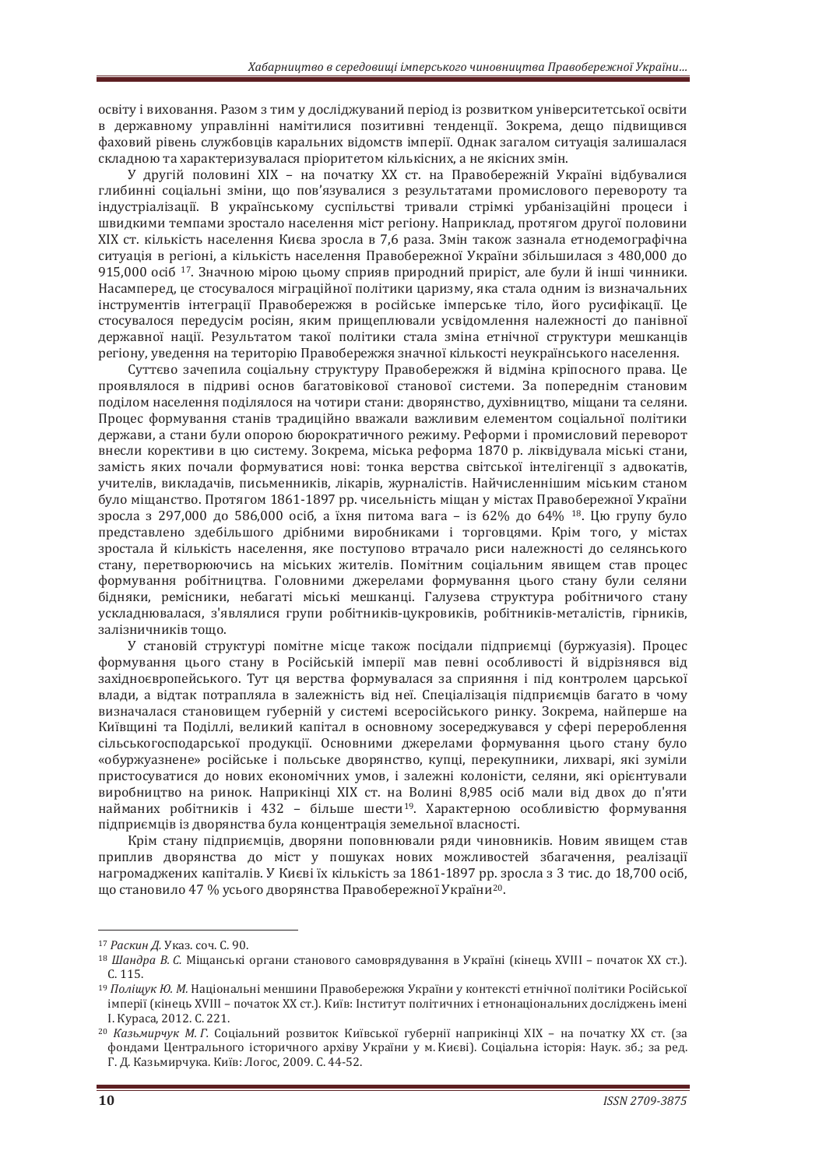освіту і виховання. Разом з тим у досліджуваний період із розвитком університетської освіти в державному управлінні намітилися позитивні тенденції. Зокрема, дещо підвищився фаховий рівень службовців каральних відомств імперії. Однак загалом ситуація залишалася складною та характеризувалася пріоритетом кількісних, а не якісних змін.

У другій половині XIX - на початку XX ст. на Правобережній Україні відбувалися глибинні соціальні зміни, що пов'язувалися з результатами промислового перевороту та індустріалізації. В українському суспільстві тривали стрімкі урбанізаційні процеси і швидкими темпами зростало населення міст регіону. Наприклад, протягом другої половини XIX ст. кількість населення Києва зросла в 7,6 раза. Змін також зазнала етнодемографічна ситуація в регіоні, а кількість населення Правобережної України збільшилася з 480.000 до 915,000 осіб <sup>17</sup>. Значною мірою цьому сприяв природний приріст, але були й інші чинники. Насамперел, не стосувалося мігранійної політики наризму, яка стала одним із визначальних iнструментів інтеграції Правобережжя в російське імперське тіло, його русифікації, Це стосувалося передусім росіян, яким прищеплювали усвідомлення належності до панівної державної нації. Результатом такої політики стала зміна етнічної структури мешканців регіону, уведення на територію Правобережжя значної кількості неукраїнського населення.

Суттєво зачепила соціальну структуру Правобережжя й відміна кріпосного права. Це проявлялося в пілриві основ багатовікової станової системи. За попереднім становим поділом населення поділялося на чотири стани: дворянство, духівництво, міщани та селяни. Процес формування станів традиційно вважали важливим елементом соціальної політики держави, а стани були опорою бюрократичного режиму. Реформи і промисловий переворот внесли корективи в цю систему. Зокрема, міська реформа 1870 р. ліквідувала міські стани, замість яких почали формуватися нові: тонка верства світської інтелігенції з адвокатів. учителів, викладачів, письменників, лікарів, журналістів. Найчисленнішим міським станом було міщанство. Протягом 1861-1897 рр. чисельність міщан у містах Правобережної України зросла з 297,000 до 586,000 осіб, а їхня питома вага – із 62% до 64% <sup>18</sup>. Цю групу було представлено здебільшого дрібними виробниками і торговцями. Крім того, у містах зростала й кількість населення, яке поступово втрачало риси належності до селянського стану, перетворюючись на міських жителів. Помітним соціальним явишем став процес формування робітництва. Головними джерелами формування цього стану були селяни бідняки, ремісники, небагаті міські мешканці. Галузева структура робітничого стану ускладнювалася, з'являлися групи робітників-цукровиків, робітників-металістів, гірників, залізничників тощо.

У становій структурі помітне місце також посідали підприємці (буржуазія). Процес формування цього стану в Російській імперії мав певні особливості й вілрізнявся віл західноєвропейського. Тут ця верства формувалася за сприяння і під контролем царської влади, а відтак потрапляла в залежність від неї. Спеціалізація підприємців багато в чому визначалася становищем губерній у системі всеросійського ринку. Зокрема, найперше на Київщині та Поділлі, великий капітал в основному зосереджувався у сфері перероблення сільськогосподарської продукції. Основними джерелами формування цього стану було «обуржуазнене» російське і польське дворянство, купці, перекупники, лихварі, які зуміли пристосуватися до нових економічних умов, і залежні колоністи, селяни, які орієнтували виробництво на ринок. Наприкінці XIX ст. на Волині 8,985 осіб мали від двох до п'яти найманих робітників і 432 - більше шести<sup>19</sup>. Характерною особливістю формування підприємців із дворянства була концентрація земельної власності.

Крім стану підприємців, дворяни поповнювали ряди чиновників. Новим явищем став приплив дворянства до міст у пошуках нових можливостей збагачення, реалізації нагромаджених капіталів. У Києві їх кількість за 1861-1897 рр. зросла з 3 тис. до 18.700 осіб. що становило 47 % усього дворянства Правобережної України<sup>20</sup>.

<sup>&</sup>lt;sup>17</sup> Раскин Д. Указ. соч. С. 90.

<sup>&</sup>lt;sup>18</sup> Шандра В. С. Міщанські органи станового самоврядування в Україні (кінець XVIII – початок XX ст.).  $C<sub>115</sub>$ 

<sup>&</sup>lt;sup>19</sup> *Поліщук Ю. М.* Національні меншини Правобережжя України у контексті етнічної політики Російської імперії (кінець XVIII – початок XX ст.). Київ: Інститут політичних і етнонаціональних досліджень імені I. Kypaca, 2012. C. 221.

<sup>&</sup>lt;sup>20</sup> Казьмирчук М. Г. Соціальний розвиток Київської губернії наприкінці XIX – на початку XX ст. (за фонлами Пентрального історичного архіву України у м. Києві). Соціальна історія: Наук, зб.: за ред. Г. Д. Казьмирчука. Київ: Логос, 2009. С. 44-52.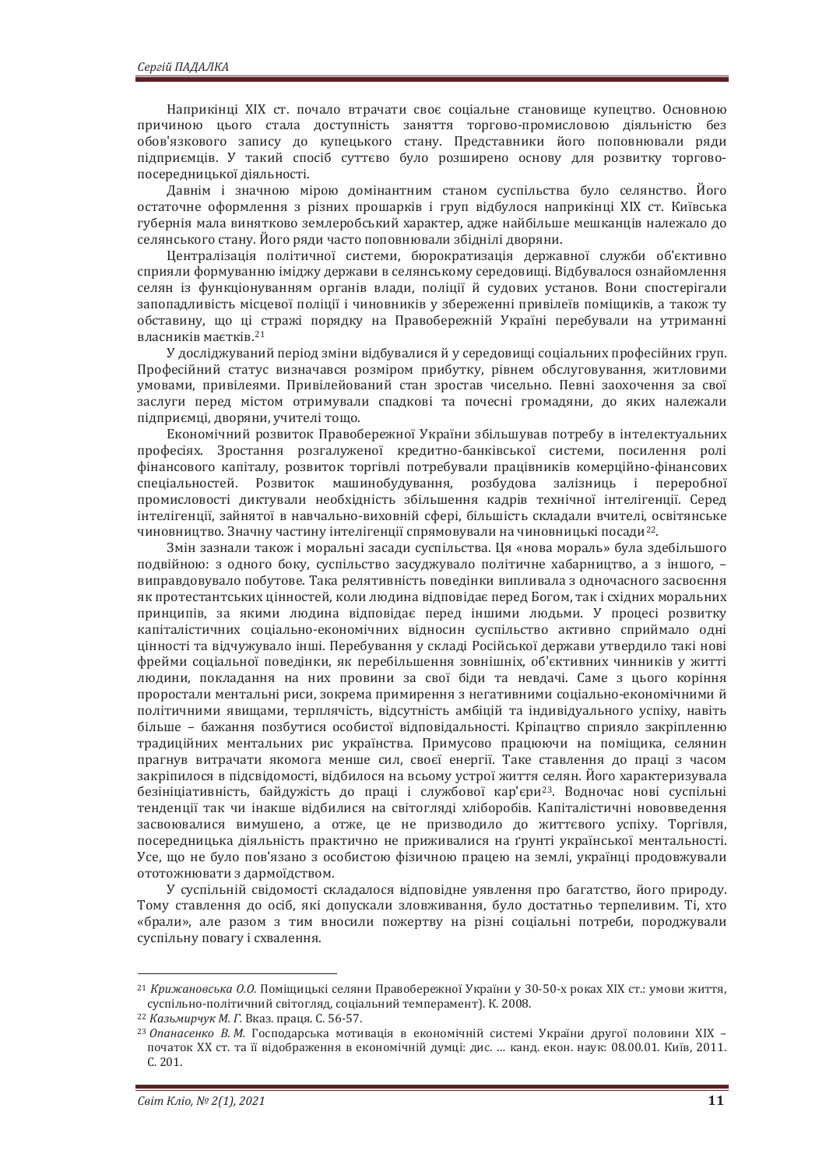Наприкінці XIX ст. почало втрачати своє соціальне становище купецтво. Основною причиною цього стала доступність заняття торгово-промисловою діяльністю без обов'язкового запису до купецького стану. Представники його поповнювали ряди підприємців. У такий спосіб суттєво було розширено основу для розвитку торговопосередницької діяльності.

Давнім і значною мірою домінантним станом суспільства було селянство. Його остаточне оформлення з різних прошарків і груп відбулося наприкінці XIX ст. Київська губернія мала винятково землеробський характер, адже найбільше мешканців належало до селянського стану. Його ряди часто поповнювали збіднілі дворяни.

Централізація політичної системи, бюрократизація державної служби об'єктивно сприяли формуванню іміджу держави в селянському середовищі. Відбувалося ознайомлення селян із функціонуванням органів влади, поліції й судових установ. Вони спостерігали запопадливість місцевої поліції і чиновників у збереженні привілеїв поміщиків, а також ту обставину, що ці стражі порядку на Правобережній Україні перебували на утриманні власників маєтків.<sup>21</sup>

У досліджуваний період зміни відбувалися й у середовищі соціальних професійних груп. Професійний статус визначався розміром прибутку, рівнем обслуговування, житловими умовами, привілеями. Привілейований стан зростав чисельно. Певні заохочення за свої заслуги перед містом отримували спадкові та почесні громадяни, до яких належали підприємці, дворяни, учителі тощо.

.<br>Економічний розвиток Правобережної України збільшував потребу в інтелектуальних професіях. Зростання розгалуженої кредитно-банківської системи, посилення ролі фінансового капіталу, розвиток торгівлі потребували працівників комерційно-фінансових спеціальностей. Розвиток машинобудування, розбудова залізниць і переробної промисловості диктували необхідність збільшення кадрів технічної інтелігенції. Серед інтелігенції, зайнятої в навчально-виховній сфері, більшість складали вчителі, освітянське чиновництво. Значну частину інтелігенції спрямовували на чиновницькі посади<sup>22</sup>.

Змін зазнали також і моральні засади суспільства. Ця «нова мораль» була здебільшого подвійною: з одного боку, суспільство засуджувало політичне хабарництво, а з іншого, виправдовувало побутове. Така релятивність поведінки випливала з одночасного засвоєння як протестантських цінностей, коли людина відповідає перед Богом, так і східних моральних принципів, за якими людина відповідає перед іншими людьми. У процесі розвитку капіталістичних соціально-економічних відносин суспільство активно сприймало одні цінності та відчужувало інші. Перебування у складі Російської держави утвердило такі нові фрейми соціальної повелінки, як перебільшення зовнішніх, об'єктивних чинників у житті людини, покладання на них провини за свої біди та невдачі. Саме з пього коріння проростали ментальні риси, зокрема примирення з негативними соціально-економічними й політичними явищами, терплячість, відсутність амбіцій та індивідуального успіху, навіть більше – бажання позбутися особистої відповідальності. Кріпацтво сприяло закріпленню традиційних ментальних рис українства. Примусово працюючи на поміщика, селянин прагнув витрачати якомога менше сил, своєї енергії. Таке ставлення до праці з часом закріпилося в підсвідомості, відбилося на всьому устрої життя селян. Його характеризувала безініціативність, байдужість до праці і службової кар'єри<sup>23</sup>. Водночас нові суспільні тенденції так чи інакше відбилися на світогляді хліборобів. Капіталістичні нововведення засвоювалися вимушено, а отже, це не призводило до життєвого успіху. Торгівля, посередницька діяльність практично не приживалися на ґрунті української ментальності. Усе, що не було пов'язано з особистою фізичною працею на землі, українці продовжували ототожнювати з дармоїдством.

У суспільній свідомості складалося відповідне уявлення про багатство, його природу. Тому ставлення до осіб, які допускали зловживання, було достатньо терпеливим. Ті, хто «брали», але разом з тим вносили пожертву на різні соціальні потреби, породжували суспільну повагу і схвалення.

<sup>&</sup>lt;sup>21</sup> Крижановська О.О. Поміщицькі селяни Правобережної України у 30-50-х роках XIX ст.: умови життя, суспільно-політичний світогляд, соціальний темперамент). К. 2008.

<sup>&</sup>lt;sup>22</sup> Казьмирчук М. Г. Вказ. праця. С. 56-57.<br><sup>23</sup> Опанасенко В. М. Господарська мотивація в економічній системі України другої половини XIX – початок XX ст. та її вілображення в економічній лумпі: лис. … канл. екон. наук: 08.00.01. Київ. 2011. C. 201.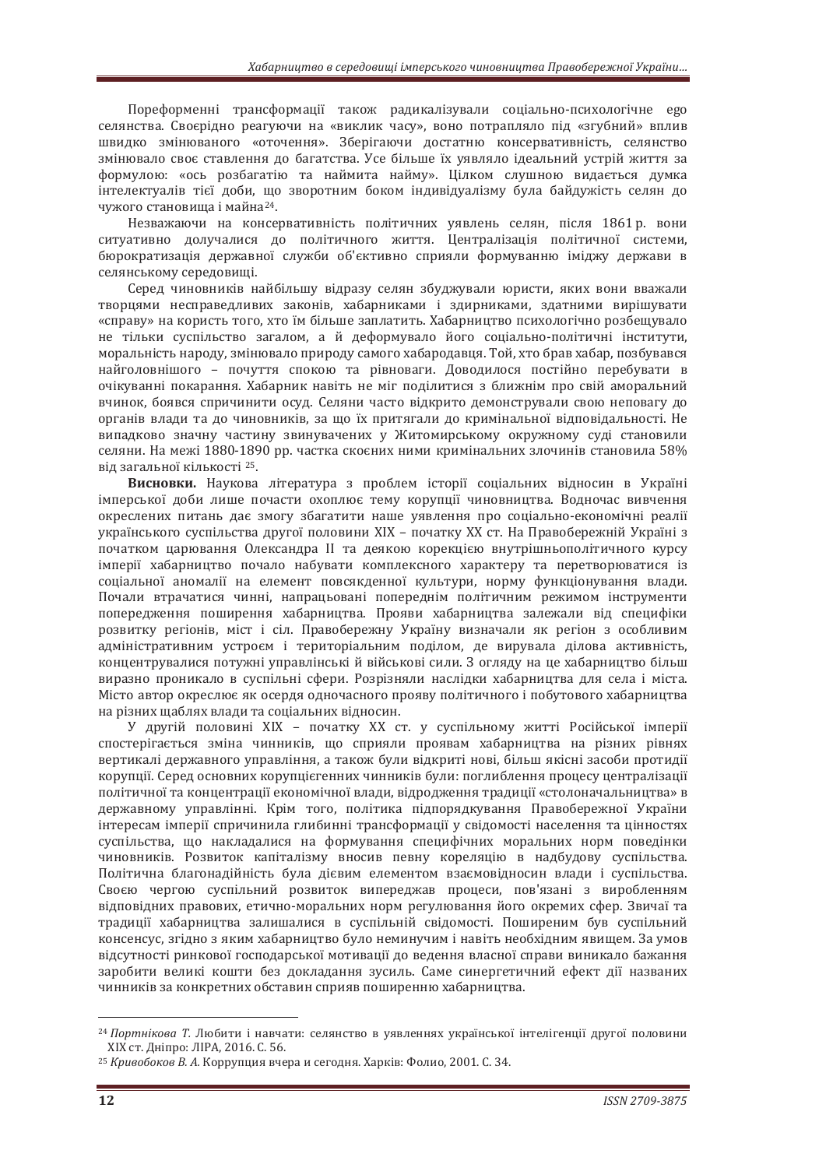Пореформенні трансформації також радикалізували соціально-психологічне едо селянства. Своєрідно реагуючи на «виклик часу», воно потрапляло під «згубний» вплив швидко змінюваного «оточення». Зберігаючи достатню консервативність, селянство змінювало своє ставлення до багатства. Усе більше їх уявляло ідеальний устрій життя за формулою: «ось розбагатію та наймита найму». Цілком слушною видається думка інтелектуалів тієї доби, що зворотним боком індивідуалізму була байдужість селян до чужого становиша і майна<sup>24</sup>.

Незважаючи на консервативність політичних уявлень селян, після 1861 р. вони ситуативно долучалися до політичного життя. Централізація політичної системи, бюрократизація державної служби об'єктивно сприяли формуванню імілжу держави в селянському середовищі.

Серед чиновників найбільшу відразу селян збуджували юристи, яких вони вважали творцями несправедливих законів, хабарниками і здирниками, здатними вирішувати «справу» на користь того, хто їм більше заплатить. Хабарництво психологічно розбещувало не тільки суспільство загалом, а й деформувало його соціально-політичні інститути, моральність народу, змінювало природу самого хабародавця. Той, хто брав хабар, позбувався найголовнішого - почуття спокою та рівноваги. Доводилося постійно перебувати в очікуванні покарання. Хабарник навіть не міг полілитися з ближнім про свій аморальний вчинок, боявся спричинити осуд. Селяни часто відкрито демонстрували свою неповагу до органів влади та до чиновників, за що їх притягали до кримінальної відповідальності. Не випадково значну частину звинувачених у Житомирському окружному суді становили селяни. На межі 1880-1890 рр. частка скоєних ними кримінальних злочинів становила 58% від загальної кількості 25.

Висновки. Наукова література з проблем історії соціальних відносин в Україні імперської доби лише почасти охоплює тему корупції чиновництва. Водночас вивчення окреслених питань дає змогу збагатити наше уявлення про соціально-економічні реалії українського суспільства другої половини XIX – початку XX ст. На Правобережній Україні з початком царювання Олександра II та деякою корекцією внутрішньополітичного курсу імперії хабарництво почало набувати комплексного характеру та перетворюватися із соціальної аномалії на елемент повсякденної культури, норму функціонування влади. Почали втрачатися чинні, напрацьовані попереднім політичним режимом інструменти попередження поширення хабарництва. Прояви хабарництва залежали від специфіки розвитку регіонів, міст і сіл. Правобережну Україну визначали як регіон з особливим адміністративним устроєм і територіальним поділом, де вирувала ділова активність, концентрувалися потужні управлінські й військові сили. З оглялу на це хабарництво більш виразно проникало в суспільні сфери. Розрізняли наслілки хабарництва лля села і міста. Місто автор окреслює як осердя одночасного прояву політичного і побутового хабарництва на різних щаблях влади та соціальних відносин.

У другій половині XIX - початку XX ст. у суспільному житті Російської імперії спостерігається зміна чинників, що сприяли проявам хабарництва на різних рівнях вертикалі державного управління, а також були відкриті нові, більш якісні засоби протидії корупції. Серед основних корупцієгенних чинників були: поглиблення процесу централізації політичної та концентрації економічної влади, відродження традиції «столоначальництва» в державному управлінні. Крім того, політика підпорядкування Правобережної України інтересам імперії спричинила глибинні трансформації у свідомості населення та цінностях суспільства, що накладалися на формування специфічних моральних норм поведінки чиновників. Розвиток капіталізму вносив певну кореляцію в надбудову суспільства. Політична благонадійність була дієвим елементом взаємовідносин влади і суспільства. Своєю чергою суспільний розвиток випереджав процеси, пов'язані з виробленням відповідних правових, етично-моральних норм регулювання його окремих сфер. Звичаї та традиції хабарництва залишалися в суспільній свідомості. Поширеним був суспільний консенсус, згідно з яким хабарництво було неминучим і навіть необхідним явищем. За умов відсутності ринкової господарської мотивації до ведення власної справи виникало бажання заробити великі кошти без докладання зусиль. Саме синергетичний ефект дії названих чинників за конкретних обставин сприяв поширенню хабарництва.

<sup>&</sup>lt;sup>24</sup> Портнікова Т. Любити і навчати: селянство в уявленнях української інтелігенції другої половини XIX ст. Дніпро: ЛІРА. 2016. С. 56.

<sup>&</sup>lt;sup>25</sup> Кривобоков В. А. Коррупция вчера и сегодня. Харків: Фолио, 2001. С. 34.